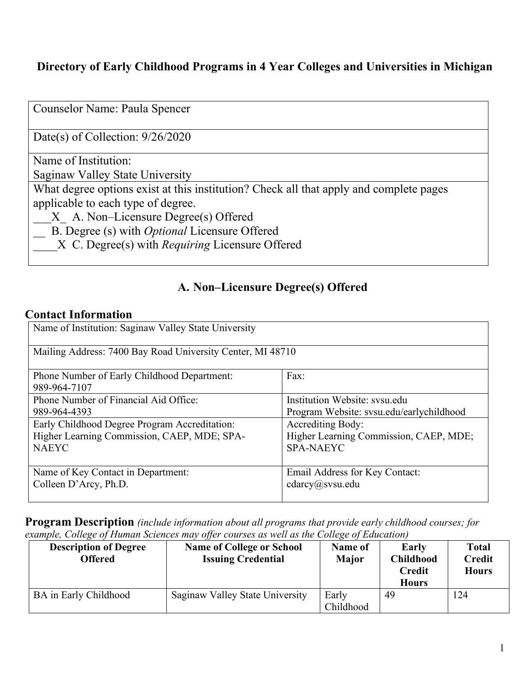#### **Directory of Early Childhood Programs in 4 Year Colleges and Universities in Michigan**

Counselor Name: Paula Spencer

Date(s) of Collection: 9/26/2020

Name of Institution:

Saginaw Valley State University

What degree options exist at this institution? Check all that apply and complete pages applicable to each type of degree.

\_\_\_X\_ A. Non–Licensure Degree(s) Offered

\_\_ B. Degree (s) with *Optional* Licensure Offered

\_\_\_\_X C. Degree(s) with *Requiring* Licensure Offered

#### **A. Non–Licensure Degree(s) Offered**

#### **Contact Information**

| Name of Institution: Saginaw Valley State University        |                                          |  |
|-------------------------------------------------------------|------------------------------------------|--|
| Mailing Address: 7400 Bay Road University Center, MI 48710  |                                          |  |
| Phone Number of Early Childhood Department:<br>989-964-7107 | Fax:                                     |  |
| Phone Number of Financial Aid Office:                       | Institution Website: sysu.edu            |  |
| 989-964-4393                                                | Program Website: svsu.edu/earlychildhood |  |
| Early Childhood Degree Program Accreditation:               | Accrediting Body:                        |  |
| Higher Learning Commission, CAEP, MDE; SPA-                 | Higher Learning Commission, CAEP, MDE;   |  |
| <b>NAEYC</b>                                                | <b>SPA-NAEYC</b>                         |  |
| Name of Key Contact in Department:                          | Email Address for Key Contact:           |  |
| Colleen D'Arcy, Ph.D.                                       | $c \cdot \text{darcy}(a)$ svsu.edu       |  |

**Program Description** *(include information about all programs that provide early childhood courses; for example, College of Human Sciences may offer courses as well as the College of Education)*

| <b>Description of Degree</b><br>Offered | <b>Name of College or School</b><br><b>Issuing Credential</b> | Name of<br><b>Major</b> | <b>Early</b><br><b>Childhood</b><br><b>Credit</b><br><b>Hours</b> | <b>Total</b><br><b>Credit</b><br><b>Hours</b> |
|-----------------------------------------|---------------------------------------------------------------|-------------------------|-------------------------------------------------------------------|-----------------------------------------------|
| BA in Early Childhood                   | Saginaw Valley State University                               | Early<br>Childhood      | 49                                                                | 124                                           |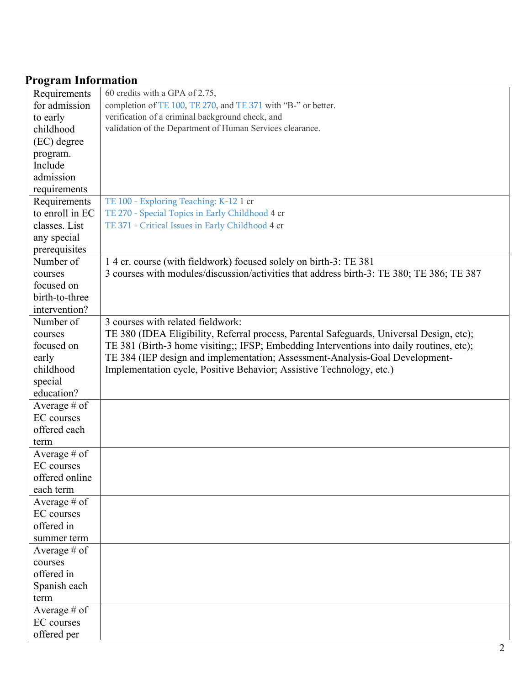# **Program Information**

| Requirements      | 60 credits with a GPA of 2.75,                                                            |
|-------------------|-------------------------------------------------------------------------------------------|
| for admission     | completion of TE 100, TE 270, and TE 371 with "B-" or better.                             |
| to early          | verification of a criminal background check, and                                          |
| childhood         | validation of the Department of Human Services clearance.                                 |
| (EC) degree       |                                                                                           |
| program.          |                                                                                           |
| Include           |                                                                                           |
| admission         |                                                                                           |
| requirements      |                                                                                           |
| Requirements      | TE 100 - Exploring Teaching: K-12 1 cr                                                    |
| to enroll in EC   | TE 270 - Special Topics in Early Childhood 4 cr                                           |
| classes. List     | TE 371 - Critical Issues in Early Childhood 4 cr                                          |
| any special       |                                                                                           |
| prerequisites     |                                                                                           |
| Number of         | 14 cr. course (with fieldwork) focused solely on birth-3: TE 381                          |
| courses           | 3 courses with modules/discussion/activities that address birth-3: TE 380; TE 386; TE 387 |
| focused on        |                                                                                           |
| birth-to-three    |                                                                                           |
| intervention?     |                                                                                           |
| Number of         | 3 courses with related fieldwork:                                                         |
| courses           | TE 380 (IDEA Eligibility, Referral process, Parental Safeguards, Universal Design, etc);  |
| focused on        | TE 381 (Birth-3 home visiting;; IFSP; Embedding Interventions into daily routines, etc);  |
| early             | TE 384 (IEP design and implementation; Assessment-Analysis-Goal Development-              |
| childhood         | Implementation cycle, Positive Behavior; Assistive Technology, etc.)                      |
| special           |                                                                                           |
| education?        |                                                                                           |
| Average # of      |                                                                                           |
| EC courses        |                                                                                           |
| offered each      |                                                                                           |
| term              |                                                                                           |
| Average $#$ of    |                                                                                           |
| <b>EC</b> courses |                                                                                           |
| offered online    |                                                                                           |
| each term         |                                                                                           |
| Average # of      |                                                                                           |
| <b>EC</b> courses |                                                                                           |
| offered in        |                                                                                           |
| summer term       |                                                                                           |
| Average # of      |                                                                                           |
| courses           |                                                                                           |
| offered in        |                                                                                           |
| Spanish each      |                                                                                           |
| term              |                                                                                           |
| Average # of      |                                                                                           |
| <b>EC</b> courses |                                                                                           |
| offered per       |                                                                                           |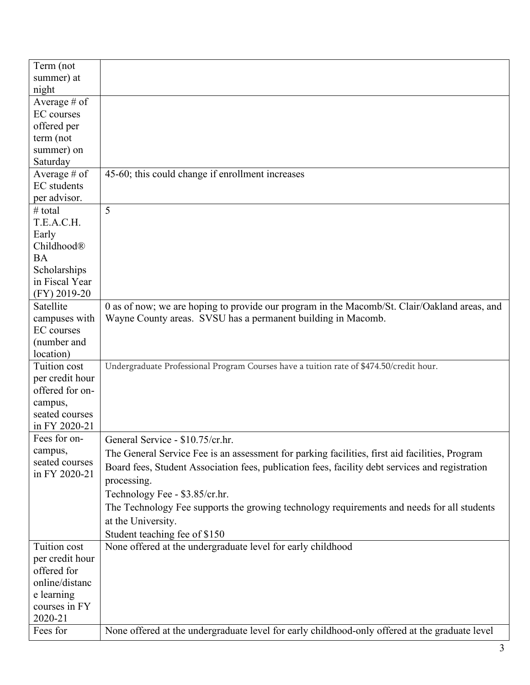| Term (not         |                                                                                                 |
|-------------------|-------------------------------------------------------------------------------------------------|
| summer) at        |                                                                                                 |
| night             |                                                                                                 |
| Average # of      |                                                                                                 |
| <b>EC</b> courses |                                                                                                 |
| offered per       |                                                                                                 |
| term (not         |                                                                                                 |
| summer) on        |                                                                                                 |
| Saturday          |                                                                                                 |
| Average $#$ of    | 45-60; this could change if enrollment increases                                                |
| EC students       |                                                                                                 |
| per advisor.      |                                                                                                 |
| # total           | 5                                                                                               |
| T.E.A.C.H.        |                                                                                                 |
| Early             |                                                                                                 |
| Childhood®        |                                                                                                 |
| <b>BA</b>         |                                                                                                 |
| Scholarships      |                                                                                                 |
| in Fiscal Year    |                                                                                                 |
| (FY) 2019-20      |                                                                                                 |
| Satellite         | 0 as of now; we are hoping to provide our program in the Macomb/St. Clair/Oakland areas, and    |
| campuses with     | Wayne County areas. SVSU has a permanent building in Macomb.                                    |
| <b>EC</b> courses |                                                                                                 |
| (number and       |                                                                                                 |
| location)         |                                                                                                 |
| Tuition cost      | Undergraduate Professional Program Courses have a tuition rate of \$474.50/credit hour.         |
| per credit hour   |                                                                                                 |
| offered for on-   |                                                                                                 |
| campus,           |                                                                                                 |
| seated courses    |                                                                                                 |
| in FY 2020-21     |                                                                                                 |
| Fees for on-      | General Service - \$10.75/cr.hr.                                                                |
| campus,           | The General Service Fee is an assessment for parking facilities, first aid facilities, Program  |
| seated courses    | Board fees, Student Association fees, publication fees, facility debt services and registration |
| in FY 2020-21     |                                                                                                 |
|                   | processing.                                                                                     |
|                   | Technology Fee - \$3.85/cr.hr.                                                                  |
|                   | The Technology Fee supports the growing technology requirements and needs for all students      |
|                   | at the University.                                                                              |
|                   | Student teaching fee of \$150                                                                   |
| Tuition cost      | None offered at the undergraduate level for early childhood                                     |
| per credit hour   |                                                                                                 |
| offered for       |                                                                                                 |
| online/distanc    |                                                                                                 |
| e learning        |                                                                                                 |
| courses in FY     |                                                                                                 |
| 2020-21           |                                                                                                 |
| Fees for          | None offered at the undergraduate level for early childhood-only offered at the graduate level  |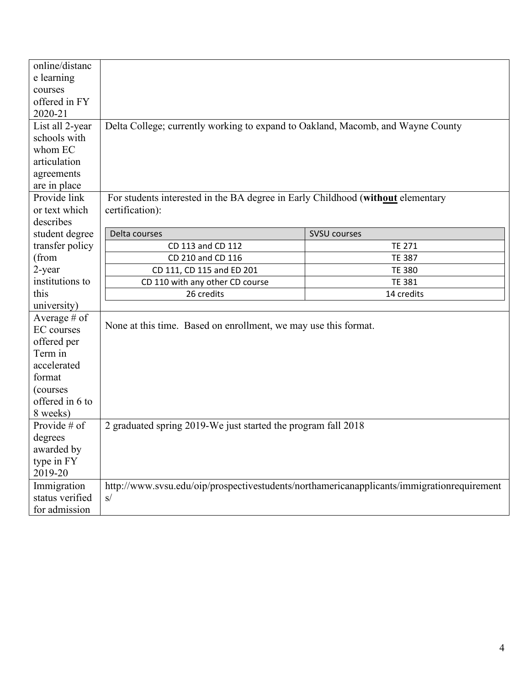| online/distanc<br>e learning<br>courses<br>offered in FY |                                                                                 |                                                                                            |  |
|----------------------------------------------------------|---------------------------------------------------------------------------------|--------------------------------------------------------------------------------------------|--|
| 2020-21                                                  |                                                                                 |                                                                                            |  |
| List all 2-year                                          | Delta College; currently working to expand to Oakland, Macomb, and Wayne County |                                                                                            |  |
| schools with                                             |                                                                                 |                                                                                            |  |
| whom EC                                                  |                                                                                 |                                                                                            |  |
| articulation                                             |                                                                                 |                                                                                            |  |
| agreements                                               |                                                                                 |                                                                                            |  |
| are in place                                             |                                                                                 |                                                                                            |  |
| Provide link                                             | For students interested in the BA degree in Early Childhood (without elementary |                                                                                            |  |
| or text which                                            | certification):                                                                 |                                                                                            |  |
| describes                                                |                                                                                 |                                                                                            |  |
| student degree                                           | Delta courses                                                                   | <b>SVSU courses</b>                                                                        |  |
| transfer policy                                          | CD 113 and CD 112                                                               | <b>TE 271</b>                                                                              |  |
| (from                                                    | CD 210 and CD 116                                                               | <b>TE 387</b>                                                                              |  |
| 2-year                                                   | CD 111, CD 115 and ED 201                                                       | <b>TE 380</b>                                                                              |  |
| institutions to                                          | CD 110 with any other CD course                                                 | <b>TE 381</b>                                                                              |  |
| this                                                     | 26 credits                                                                      | 14 credits                                                                                 |  |
| university)<br>Average $#$ of                            |                                                                                 |                                                                                            |  |
| <b>EC</b> courses                                        | None at this time. Based on enrollment, we may use this format.                 |                                                                                            |  |
| offered per                                              |                                                                                 |                                                                                            |  |
| Term in                                                  |                                                                                 |                                                                                            |  |
| accelerated                                              |                                                                                 |                                                                                            |  |
| format                                                   |                                                                                 |                                                                                            |  |
| (courses                                                 |                                                                                 |                                                                                            |  |
| offered in 6 to                                          |                                                                                 |                                                                                            |  |
| 8 weeks)                                                 |                                                                                 |                                                                                            |  |
| Provide $#$ of                                           | 2 graduated spring 2019-We just started the program fall 2018                   |                                                                                            |  |
| degrees                                                  |                                                                                 |                                                                                            |  |
| awarded by                                               |                                                                                 |                                                                                            |  |
| type in FY                                               |                                                                                 |                                                                                            |  |
| 2019-20                                                  |                                                                                 |                                                                                            |  |
| Immigration                                              |                                                                                 | http://www.svsu.edu/oip/prospectivestudents/northamericanapplicants/immigrationrequirement |  |
| status verified                                          | s/                                                                              |                                                                                            |  |
| for admission                                            |                                                                                 |                                                                                            |  |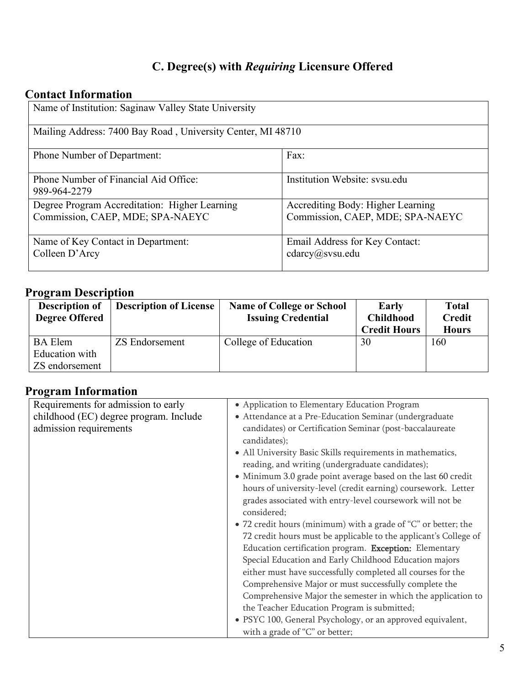# **C. Degree(s) with** *Requiring* **Licensure Offered**

## **Contact Information**

| Name of Institution: Saginaw Valley State University                              |                                                                       |  |
|-----------------------------------------------------------------------------------|-----------------------------------------------------------------------|--|
| Mailing Address: 7400 Bay Road, University Center, MI 48710                       |                                                                       |  |
| <b>Phone Number of Department:</b>                                                | Fax:                                                                  |  |
| Phone Number of Financial Aid Office:<br>989-964-2279                             | Institution Website: sysu.edu                                         |  |
| Degree Program Accreditation: Higher Learning<br>Commission, CAEP, MDE; SPA-NAEYC | Accrediting Body: Higher Learning<br>Commission, CAEP, MDE; SPA-NAEYC |  |
| Name of Key Contact in Department:<br>Colleen D'Arcy                              | Email Address for Key Contact:<br>cdarcy@svsu.edu                     |  |

### **Program Description**

| <b>Description of</b><br><b>Degree Offered</b> | <b>Description of License</b> | <b>Name of College or School</b><br><b>Issuing Credential</b> | Early<br><b>Childhood</b><br><b>Credit Hours</b> | <b>Total</b><br><b>Credit</b><br><b>Hours</b> |
|------------------------------------------------|-------------------------------|---------------------------------------------------------------|--------------------------------------------------|-----------------------------------------------|
| <b>BA</b> Elem                                 | <b>ZS Endorsement</b>         | College of Education                                          | 30                                               | 160                                           |
| Education with                                 |                               |                                                               |                                                  |                                               |
| ZS endorsement                                 |                               |                                                               |                                                  |                                               |

## **Program Information**

| Requirements for admission to early    | • Application to Elementary Education Program                    |
|----------------------------------------|------------------------------------------------------------------|
| childhood (EC) degree program. Include | • Attendance at a Pre-Education Seminar (undergraduate           |
| admission requirements                 | candidates) or Certification Seminar (post-baccalaureate         |
|                                        | candidates);                                                     |
|                                        | • All University Basic Skills requirements in mathematics,       |
|                                        | reading, and writing (undergraduate candidates);                 |
|                                        | • Minimum 3.0 grade point average based on the last 60 credit    |
|                                        | hours of university-level (credit earning) coursework. Letter    |
|                                        | grades associated with entry-level coursework will not be        |
|                                        | considered;                                                      |
|                                        | • 72 credit hours (minimum) with a grade of "C" or better; the   |
|                                        | 72 credit hours must be applicable to the applicant's College of |
|                                        | Education certification program. Exception: Elementary           |
|                                        | Special Education and Early Childhood Education majors           |
|                                        | either must have successfully completed all courses for the      |
|                                        | Comprehensive Major or must successfully complete the            |
|                                        | Comprehensive Major the semester in which the application to     |
|                                        | the Teacher Education Program is submitted;                      |
|                                        | · PSYC 100, General Psychology, or an approved equivalent,       |
|                                        | with a grade of "C" or better;                                   |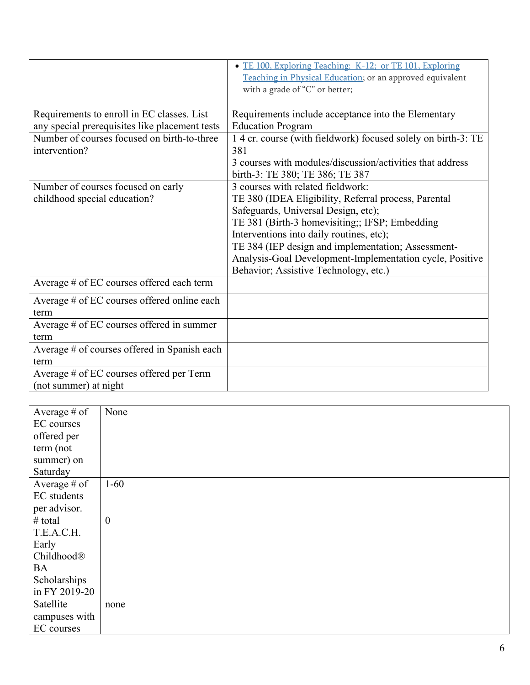|                                                | • TE 100, Exploring Teaching: K-12; or TE 101, Exploring<br>Teaching in Physical Education; or an approved equivalent |
|------------------------------------------------|-----------------------------------------------------------------------------------------------------------------------|
|                                                | with a grade of "C" or better;                                                                                        |
| Requirements to enroll in EC classes. List     | Requirements include acceptance into the Elementary                                                                   |
| any special prerequisites like placement tests | <b>Education Program</b>                                                                                              |
| Number of courses focused on birth-to-three    | 14 cr. course (with fieldwork) focused solely on birth-3: TE                                                          |
| intervention?                                  | 381                                                                                                                   |
|                                                | 3 courses with modules/discussion/activities that address<br>birth-3: TE 380; TE 386; TE 387                          |
| Number of courses focused on early             | 3 courses with related fieldwork:                                                                                     |
| childhood special education?                   | TE 380 (IDEA Eligibility, Referral process, Parental                                                                  |
|                                                | Safeguards, Universal Design, etc);                                                                                   |
|                                                | TE 381 (Birth-3 homevisiting;; IFSP; Embedding                                                                        |
|                                                | Interventions into daily routines, etc);                                                                              |
|                                                | TE 384 (IEP design and implementation; Assessment-                                                                    |
|                                                | Analysis-Goal Development-Implementation cycle, Positive                                                              |
|                                                | Behavior; Assistive Technology, etc.)                                                                                 |
| Average # of EC courses offered each term      |                                                                                                                       |
| Average # of EC courses offered online each    |                                                                                                                       |
| term                                           |                                                                                                                       |
| Average # of EC courses offered in summer      |                                                                                                                       |
| term                                           |                                                                                                                       |
| Average # of courses offered in Spanish each   |                                                                                                                       |
| term                                           |                                                                                                                       |
| Average # of EC courses offered per Term       |                                                                                                                       |
| (not summer) at night                          |                                                                                                                       |

| Average # of   | None             |
|----------------|------------------|
| EC courses     |                  |
| offered per    |                  |
| term (not      |                  |
| summer) on     |                  |
| Saturday       |                  |
| Average $#$ of | $1 - 60$         |
| EC students    |                  |
| per advisor.   |                  |
| $#$ total      | $\boldsymbol{0}$ |
| T.E.A.C.H.     |                  |
| Early          |                  |
| Childhood®     |                  |
| <b>BA</b>      |                  |
| Scholarships   |                  |
| in FY 2019-20  |                  |
| Satellite      | none             |
| campuses with  |                  |
| EC courses     |                  |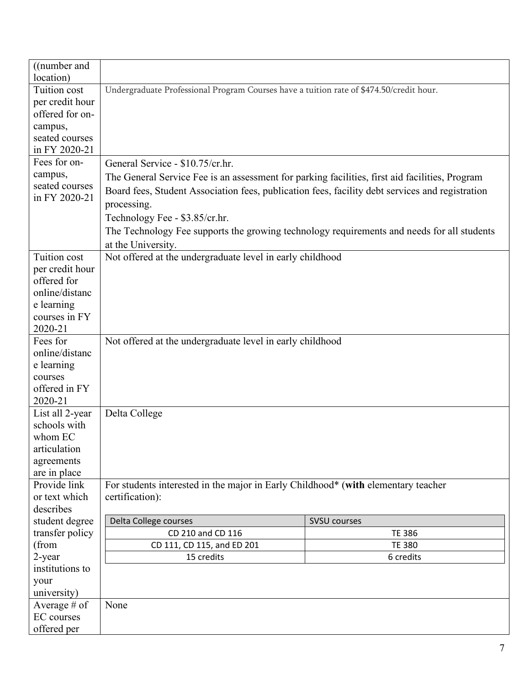| ((number and)                |                                                                                                 |               |  |
|------------------------------|-------------------------------------------------------------------------------------------------|---------------|--|
| location)                    |                                                                                                 |               |  |
| Tuition cost                 | Undergraduate Professional Program Courses have a tuition rate of \$474.50/credit hour.         |               |  |
| per credit hour              |                                                                                                 |               |  |
| offered for on-              |                                                                                                 |               |  |
| campus,                      |                                                                                                 |               |  |
| seated courses               |                                                                                                 |               |  |
| in FY 2020-21                |                                                                                                 |               |  |
| Fees for on-                 | General Service - \$10.75/cr.hr.                                                                |               |  |
| campus,                      | The General Service Fee is an assessment for parking facilities, first aid facilities, Program  |               |  |
| seated courses               | Board fees, Student Association fees, publication fees, facility debt services and registration |               |  |
| in FY 2020-21                | processing.                                                                                     |               |  |
|                              | Technology Fee - \$3.85/cr.hr.                                                                  |               |  |
|                              |                                                                                                 |               |  |
|                              | The Technology Fee supports the growing technology requirements and needs for all students      |               |  |
|                              | at the University.                                                                              |               |  |
| Tuition cost                 | Not offered at the undergraduate level in early childhood                                       |               |  |
| per credit hour              |                                                                                                 |               |  |
| offered for                  |                                                                                                 |               |  |
| online/distanc               |                                                                                                 |               |  |
| e learning                   |                                                                                                 |               |  |
| courses in FY                |                                                                                                 |               |  |
| 2020-21                      |                                                                                                 |               |  |
| Fees for                     | Not offered at the undergraduate level in early childhood                                       |               |  |
| online/distanc               |                                                                                                 |               |  |
| e learning                   |                                                                                                 |               |  |
| courses                      |                                                                                                 |               |  |
| offered in FY                |                                                                                                 |               |  |
| 2020-21                      |                                                                                                 |               |  |
| List all 2-year              | Delta College                                                                                   |               |  |
| schools with                 |                                                                                                 |               |  |
| whom EC                      |                                                                                                 |               |  |
| articulation                 |                                                                                                 |               |  |
| agreements                   |                                                                                                 |               |  |
| are in place<br>Provide link |                                                                                                 |               |  |
| or text which                | For students interested in the major in Early Childhood* (with elementary teacher               |               |  |
|                              | certification):                                                                                 |               |  |
| describes                    |                                                                                                 |               |  |
| student degree               | Delta College courses<br><b>SVSU courses</b><br>CD 210 and CD 116                               |               |  |
| transfer policy<br>(from     |                                                                                                 | <b>TE 386</b> |  |
| 2-year                       | CD 111, CD 115, and ED 201<br><b>TE 380</b><br>15 credits<br>6 credits                          |               |  |
| institutions to              |                                                                                                 |               |  |
|                              |                                                                                                 |               |  |
| your<br>university)          |                                                                                                 |               |  |
| Average $#$ of               | None                                                                                            |               |  |
| <b>EC</b> courses            |                                                                                                 |               |  |
| offered per                  |                                                                                                 |               |  |
|                              |                                                                                                 |               |  |